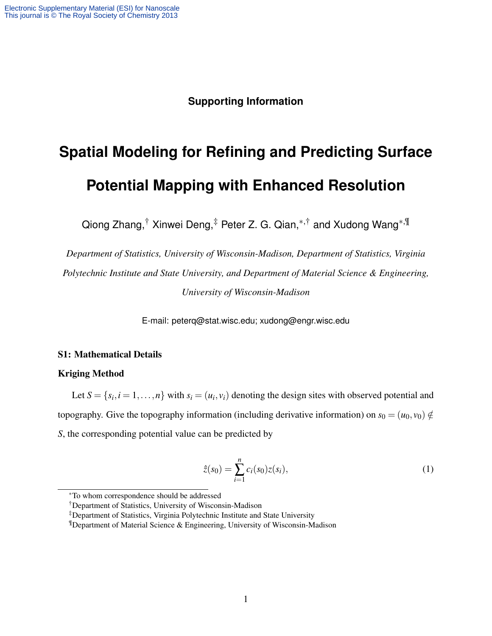### **Supporting Information**

# **Spatial Modeling for Refining and Predicting Surface Potential Mapping with Enhanced Resolution**

Qiong Zhang,<sup>†</sup> Xinwei Deng,<sup>‡</sup> Peter Z. G. Qian,<sup>\*,†</sup> and Xudong Wang<sup>\*,¶</sup>

*Department of Statistics, University of Wisconsin-Madison, Department of Statistics, Virginia Polytechnic Institute and State University, and Department of Material Science & Engineering, University of Wisconsin-Madison*

E-mail: peterq@stat.wisc.edu; xudong@engr.wisc.edu

#### S1: Mathematical Details

#### Kriging Method

Let  $S = \{s_i, i = 1, \ldots, n\}$  with  $s_i = (u_i, v_i)$  denoting the design sites with observed potential and topography. Give the topography information (including derivative information) on  $s_0 = (u_0, v_0) \notin$ *S*, the corresponding potential value can be predicted by

$$
\hat{z}(s_0) = \sum_{i=1}^{n} c_i(s_0) z(s_i), \qquad (1)
$$

<sup>∗</sup>To whom correspondence should be addressed

<sup>†</sup>Department of Statistics, University of Wisconsin-Madison

<sup>‡</sup>Department of Statistics, Virginia Polytechnic Institute and State University

<sup>¶</sup>Department of Material Science & Engineering, University of Wisconsin-Madison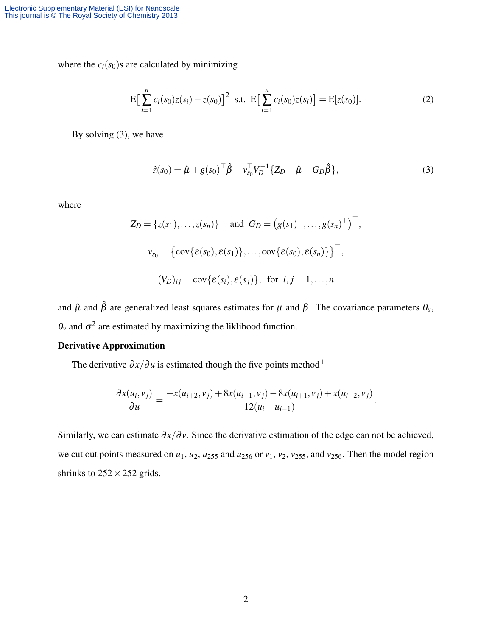where the  $c_i(s_0)$ s are calculated by minimizing

$$
E\left[\sum_{i=1}^{n}c_{i}(s_{0})z(s_{i})-z(s_{0})\right]^{2} s.t. E\left[\sum_{i=1}^{n}c_{i}(s_{0})z(s_{i})\right] = E[z(s_{0})].
$$
\n(2)

By solving (3), we have

$$
\hat{z}(s_0) = \hat{\mu} + g(s_0)^\top \hat{\beta} + v_{s_0}^\top V_D^{-1} \{ Z_D - \hat{\mu} - G_D \hat{\beta} \},
$$
\n(3)

where

$$
Z_D = \{z(s_1), \ldots, z(s_n)\}^\top \text{ and } G_D = \left(g(s_1)^\top, \ldots, g(s_n)^\top\right)^\top,
$$
  

$$
v_{s_0} = \left\{\text{cov}\{\varepsilon(s_0), \varepsilon(s_1)\}, \ldots, \text{cov}\{\varepsilon(s_0), \varepsilon(s_n)\}\right\}^\top,
$$
  

$$
(V_D)_{ij} = \text{cov}\{\varepsilon(s_i), \varepsilon(s_j)\}, \text{ for } i, j = 1, \ldots, n
$$

and  $\hat{\mu}$  and  $\hat{\beta}$  are generalized least squares estimates for  $\mu$  and  $\beta$ . The covariance parameters  $\theta_u$ ,  $\theta$ <sup>*v*</sup> and  $\sigma$ <sup>2</sup> are estimated by maximizing the liklihood function.

#### Derivative Approximation

The derivative  $\partial x / \partial u$  is estimated though the five points method<sup>1</sup>

$$
\frac{\partial x(u_i, v_j)}{\partial u} = \frac{-x(u_{i+2}, v_j) + 8x(u_{i+1}, v_j) - 8x(u_{i+1}, v_j) + x(u_{i-2}, v_j)}{12(u_i - u_{i-1})}.
$$

Similarly, we can estimate  $\partial x/\partial y$ . Since the derivative estimation of the edge can not be achieved, we cut out points measured on  $u_1$ ,  $u_2$ ,  $u_{255}$  and  $u_{256}$  or  $v_1$ ,  $v_2$ ,  $v_{255}$ , and  $v_{256}$ . Then the model region shrinks to  $252 \times 252$  grids.